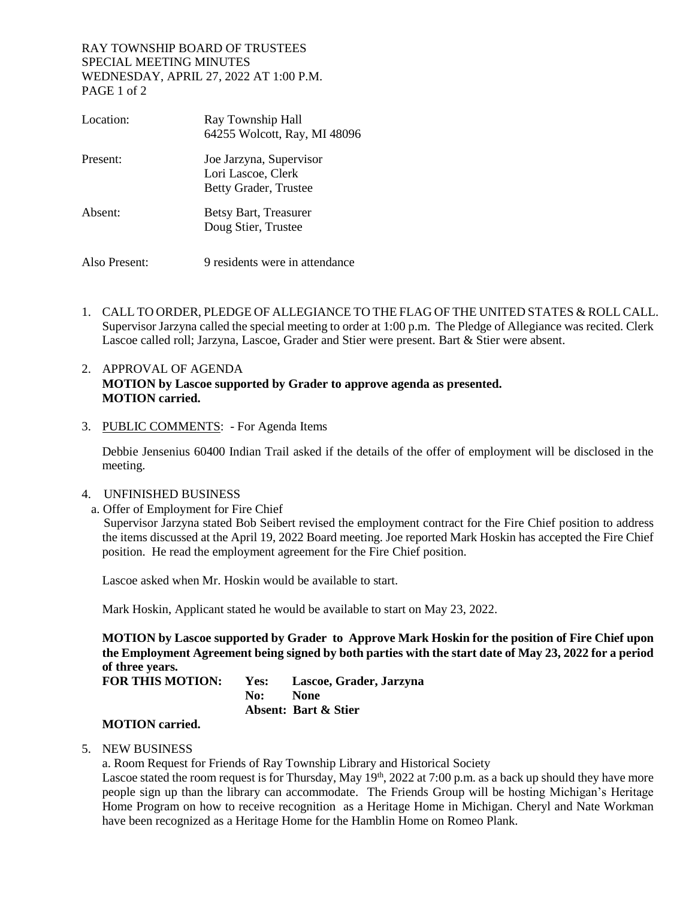#### RAY TOWNSHIP BOARD OF TRUSTEES SPECIAL MEETING MINUTES WEDNESDAY, APRIL 27, 2022 AT 1:00 P.M. PAGE 1 of 2

| Location:     | Ray Township Hall<br>64255 Wolcott, Ray, MI 48096                      |
|---------------|------------------------------------------------------------------------|
| Present:      | Joe Jarzyna, Supervisor<br>Lori Lascoe, Clerk<br>Betty Grader, Trustee |
| Absent:       | Betsy Bart, Treasurer<br>Doug Stier, Trustee                           |
| Also Present: | 9 residents were in attendance                                         |

1. CALL TO ORDER, PLEDGE OF ALLEGIANCE TO THE FLAG OF THE UNITED STATES & ROLL CALL. Supervisor Jarzyna called the special meeting to order at 1:00 p.m. The Pledge of Allegiance was recited. Clerk Lascoe called roll; Jarzyna, Lascoe, Grader and Stier were present. Bart & Stier were absent.

### 2. APPROVAL OF AGENDA **MOTION by Lascoe supported by Grader to approve agenda as presented. MOTION carried.**

#### 3. PUBLIC COMMENTS: - For Agenda Items

Debbie Jensenius 60400 Indian Trail asked if the details of the offer of employment will be disclosed in the meeting.

#### 4. UNFINISHED BUSINESS

a. Offer of Employment for Fire Chief

Supervisor Jarzyna stated Bob Seibert revised the employment contract for the Fire Chief position to address the items discussed at the April 19, 2022 Board meeting. Joe reported Mark Hoskin has accepted the Fire Chief position. He read the employment agreement for the Fire Chief position.

Lascoe asked when Mr. Hoskin would be available to start.

Mark Hoskin, Applicant stated he would be available to start on May 23, 2022.

**MOTION by Lascoe supported by Grader to Approve Mark Hoskin for the position of Fire Chief upon the Employment Agreement being signed by both parties with the start date of May 23, 2022 for a period of three years.**

**FOR THIS MOTION: Yes: Lascoe, Grader, Jarzyna No: None Absent: Bart & Stier**

## **MOTION carried.**

5. NEW BUSINESS

a. Room Request for Friends of Ray Township Library and Historical Society

Lascoe stated the room request is for Thursday, May 19<sup>th</sup>, 2022 at 7:00 p.m. as a back up should they have more people sign up than the library can accommodate. The Friends Group will be hosting Michigan's Heritage Home Program on how to receive recognition as a Heritage Home in Michigan. Cheryl and Nate Workman have been recognized as a Heritage Home for the Hamblin Home on Romeo Plank.